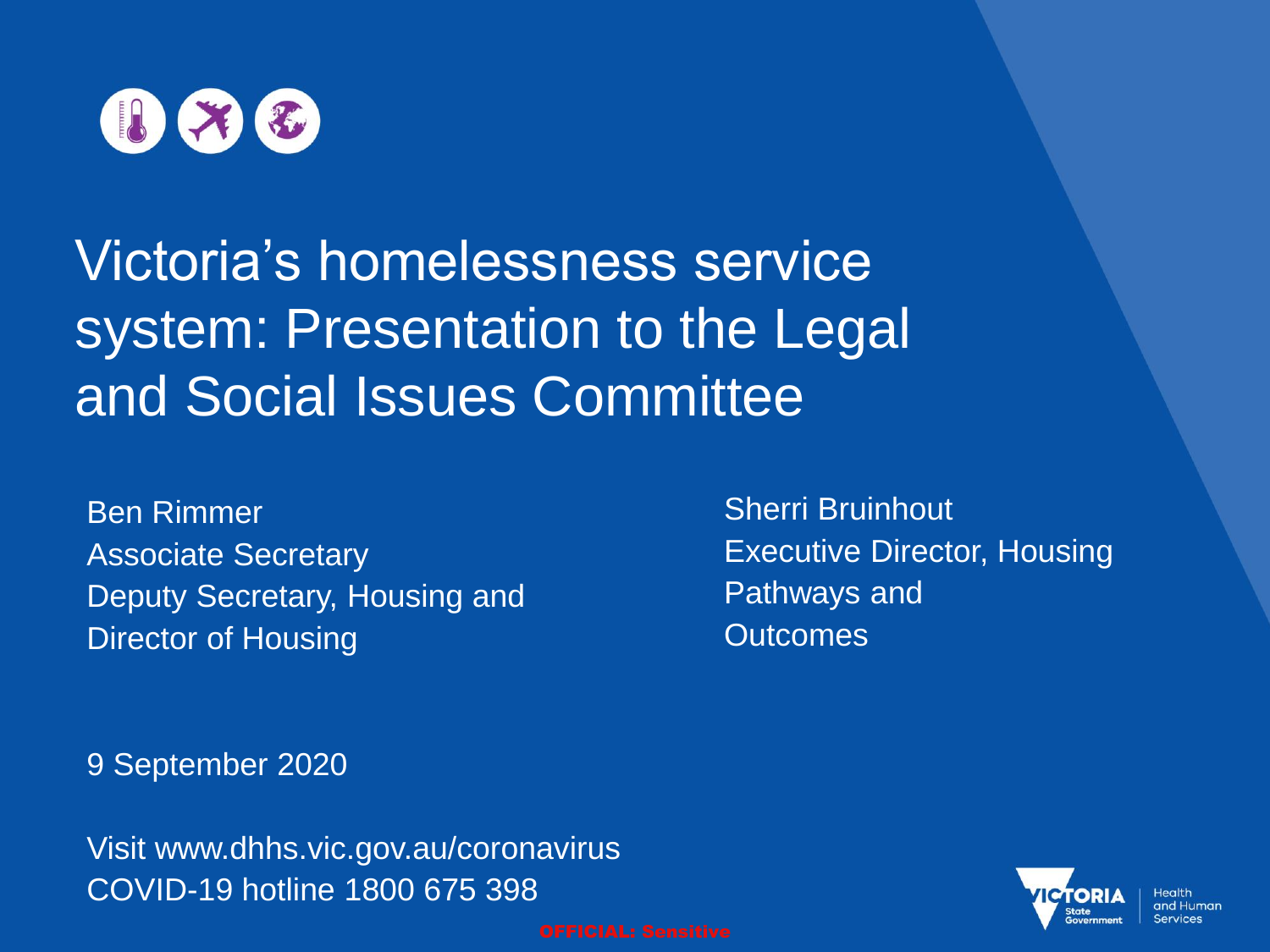

# Victoria's homelessness service system: Presentation to the Legal and Social Issues Committee

Ben Rimmer Associate Secretary Deputy Secretary, Housing and Director of Housing

Sherri Bruinhout Executive Director, Housing Pathways and **Outcomes** 

9 September 2020

Visit www.dhhs.vic.gov.au/coronavirus COVID-19 hotline 1800 675 398



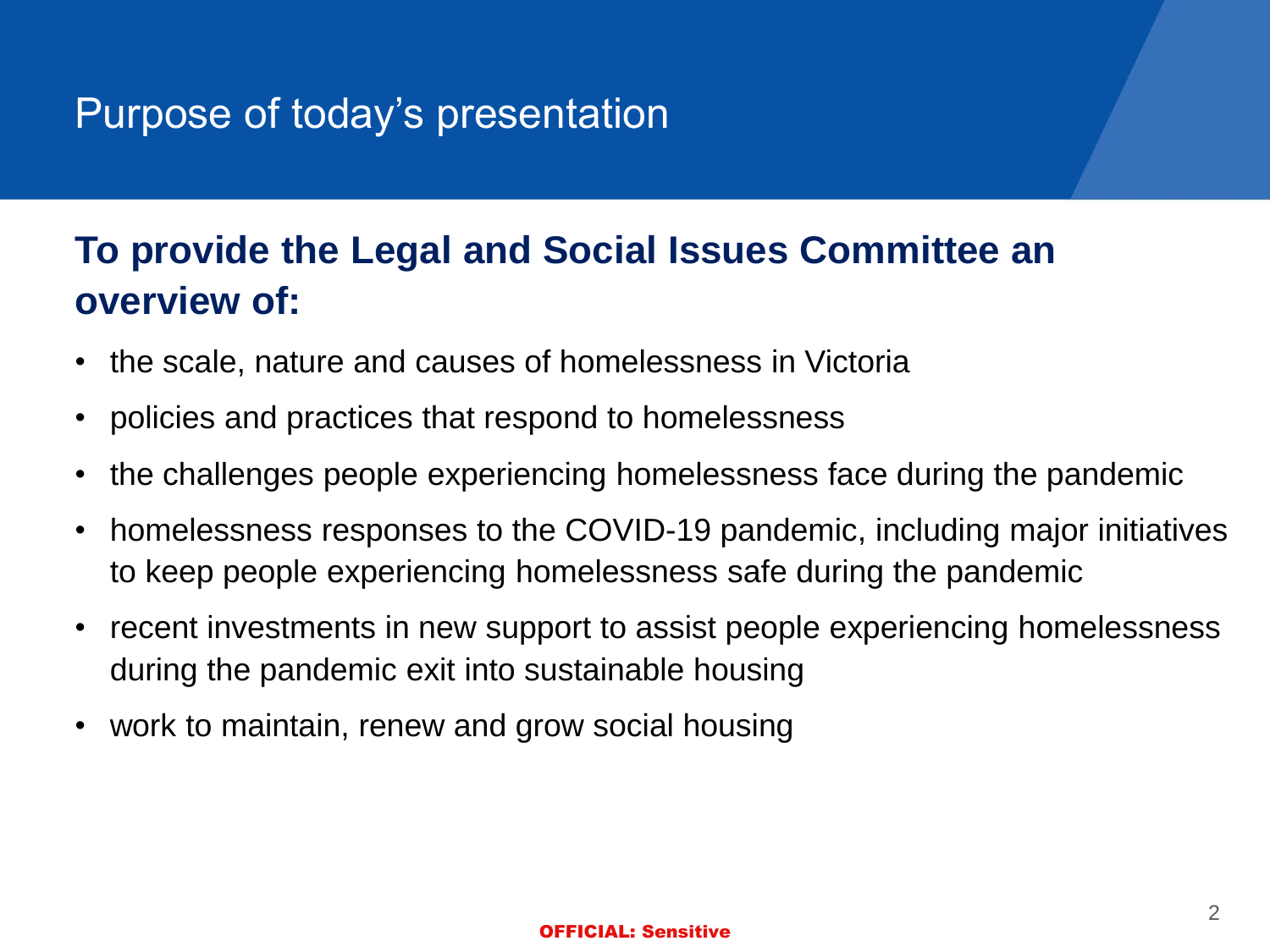## Purpose of today's presentation

## **To provide the Legal and Social Issues Committee an overview of:**

- the scale, nature and causes of homelessness in Victoria
- policies and practices that respond to homelessness
- the challenges people experiencing homelessness face during the pandemic
- homelessness responses to the COVID-19 pandemic, including major initiatives to keep people experiencing homelessness safe during the pandemic
- recent investments in new support to assist people experiencing homelessness during the pandemic exit into sustainable housing
- work to maintain, renew and grow social housing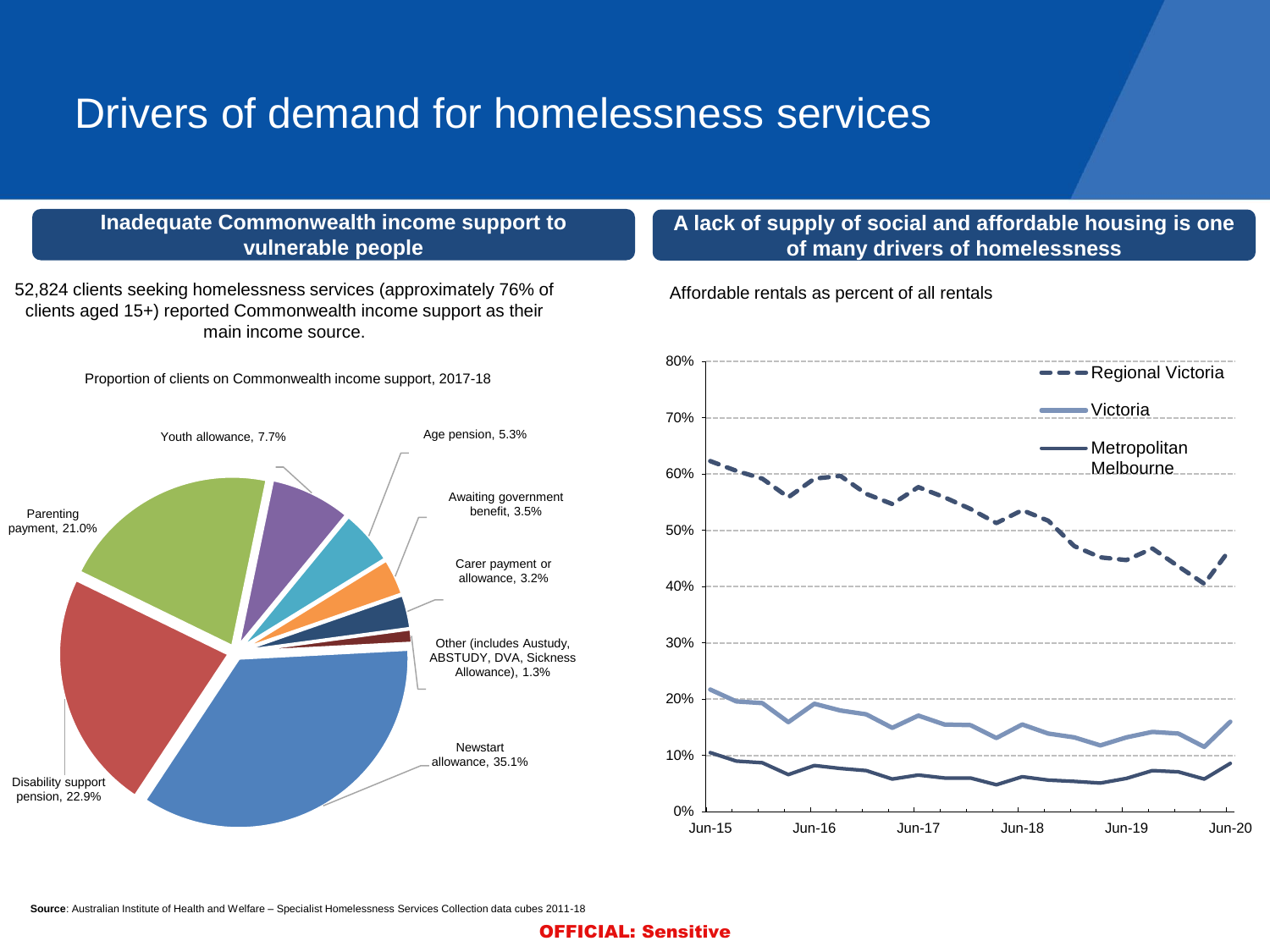## Drivers of demand for homelessness services

#### **Inadequate Commonwealth income support to vulnerable people**

52,824 clients seeking homelessness services (approximately 76% of clients aged 15+) reported Commonwealth income support as their main income source.

Proportion of clients on Commonwealth income support, 2017-18



### **A lack of supply of social and affordable housing is one of many drivers of homelessness**

Affordable rentals as percent of all rentals

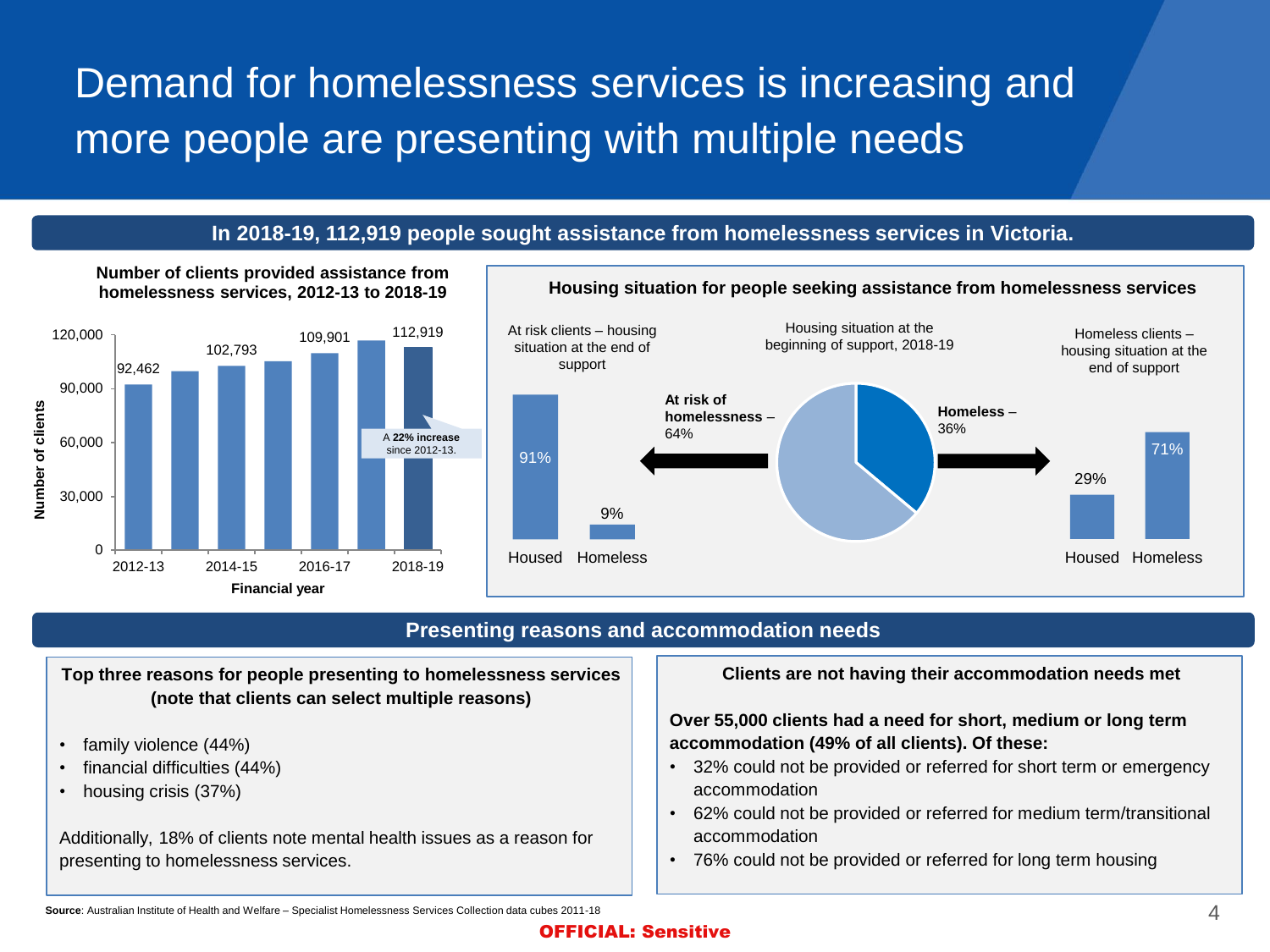# Demand for homelessness services is increasing and more people are presenting with multiple needs

### **In 2018-19, 112,919 people sought assistance from homelessness services in Victoria.**



**Number of clients provided assistance from** 

#### **Housing situation for people seeking assistance from homelessness services** 29% 71% Housed Homeless At risk clients – housing situation at the end of support 91% 9% Housed Homeless Housing situation at the beginning of support, 2018-19 Homeless clients – housing situation at the end of support **Homeless** – 36% **At risk of homelessness** – 64%

### **Presenting reasons and accommodation needs**

**Top three reasons for people presenting to homelessness services (note that clients can select multiple reasons)**

- family violence (44%)
- financial difficulties (44%)
- housing crisis (37%)

Additionally, 18% of clients note mental health issues as a reason for presenting to homelessness services.

**Clients are not having their accommodation needs met**

#### **Over 55,000 clients had a need for short, medium or long term accommodation (49% of all clients). Of these:**

- 32% could not be provided or referred for short term or emergency accommodation
- 62% could not be provided or referred for medium term/transitional accommodation
- 76% could not be provided or referred for long term housing

**Source**: Australian Institute of Health and Welfare – Specialist Homelessness Services Collection data cubes 2011-18 4  $\sim$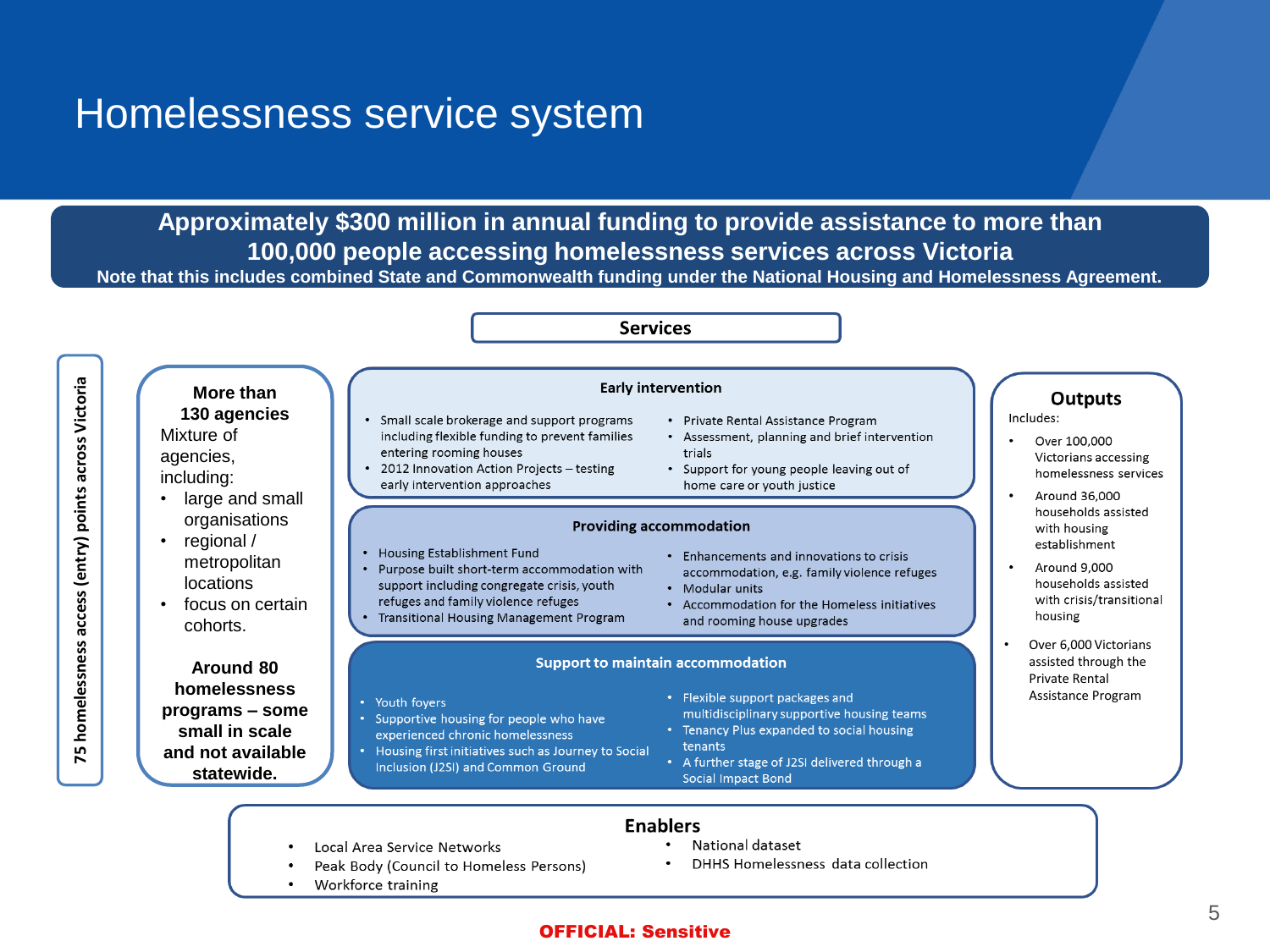### Homelessness service system

**Approximately \$300 million in annual funding to provide assistance to more than 100,000 people accessing homelessness services across Victoria**

**Note that this includes combined State and Commonwealth funding under the National Housing and Homelessness Agreement.**

#### **Services** 75 homelessness access (entry) points across Victoria **75 homelessness access (entry) points across Victoria Early intervention More than Outputs 130 agencies** Includes: Small scale brokerage and support programs Private Rental Assistance Program  $\bullet$ Mixture of including flexible funding to prevent families • Assessment, planning and brief intervention Over 100,000 entering rooming houses trials agencies, Victorians accessing 2012 Innovation Action Projects - testing • Support for young people leaving out of homelessness services including: early intervention approaches home care or youth justice • large and small Around 36,000 households assisted organisations **Providing accommodation** with housing • regional / establishment • Housing Establishment Fund • Enhancements and innovations to crisis metropolitan  $\bullet$ Around 9.000 Purpose built short-term accommodation with accommodation, e.g. family violence refuges locations support including congregate crisis, youth households assisted • Modular units refuges and family violence refuges with crisis/transitional • focus on certain • Accommodation for the Homeless initiatives • Transitional Housing Management Program housing and rooming house upgrades cohorts. • Over 6,000 Victorians **Support to maintain accommodation** assisted through the **Around 80**  Private Rental **homelessness**  • Flexible support packages and Assistance Program • Youth foyers **programs – some**  multidisciplinary supportive housing teams Supportive housing for people who have **small in scale**  • Tenancy Plus expanded to social housing experienced chronic homelessness tenants • Housing first initiatives such as Journey to Social **and not available**  • A further stage of J2SI delivered through a Inclusion (J2SI) and Common Ground **statewide.Social Impact Bond Enablers**

- Local Area Service Networks
- Peak Body (Council to Homeless Persons)
- Workforce training

#### National dataset

DHHS Homelessness data collection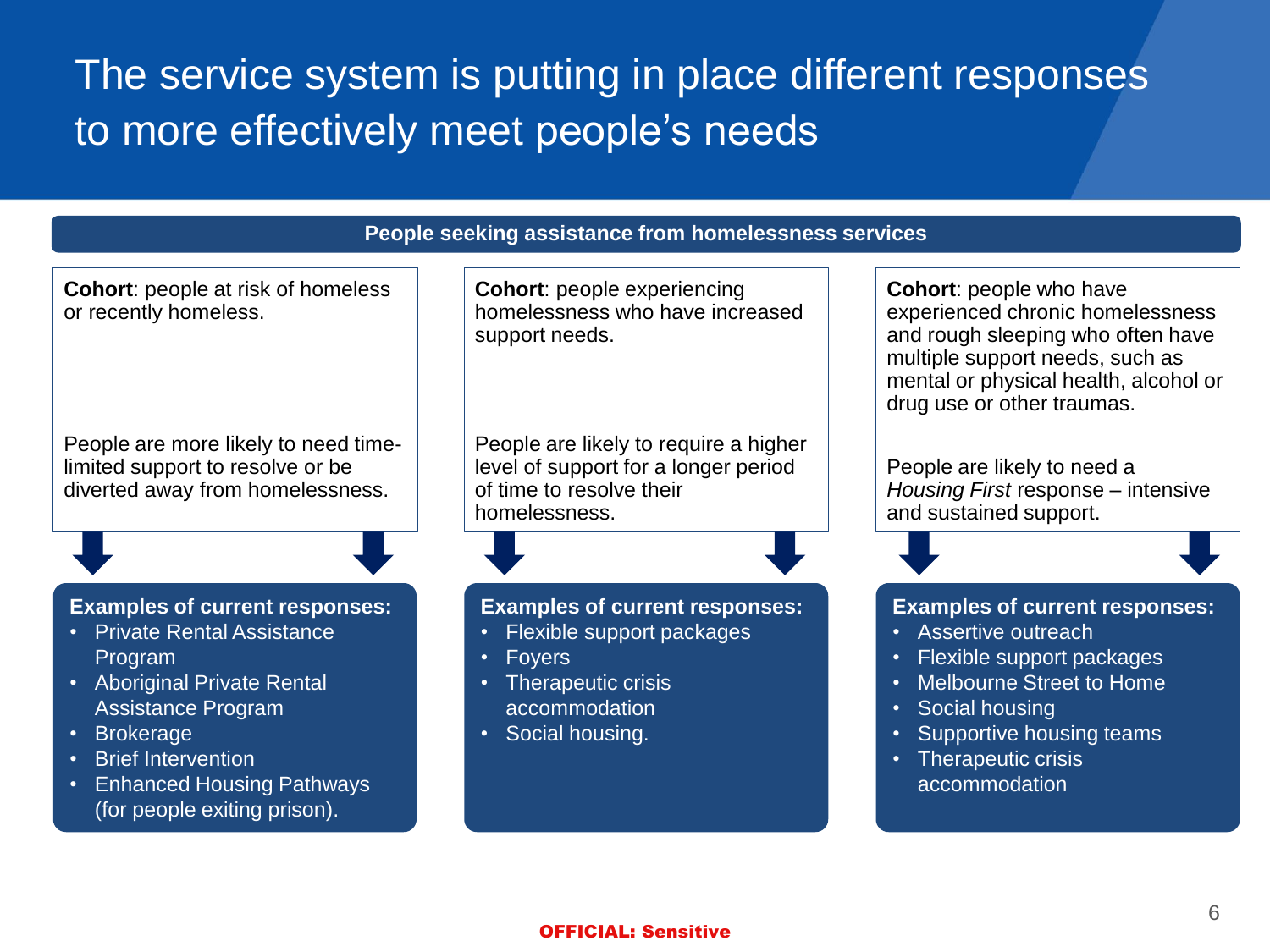The service system is putting in place different responses to more effectively meet people's needs

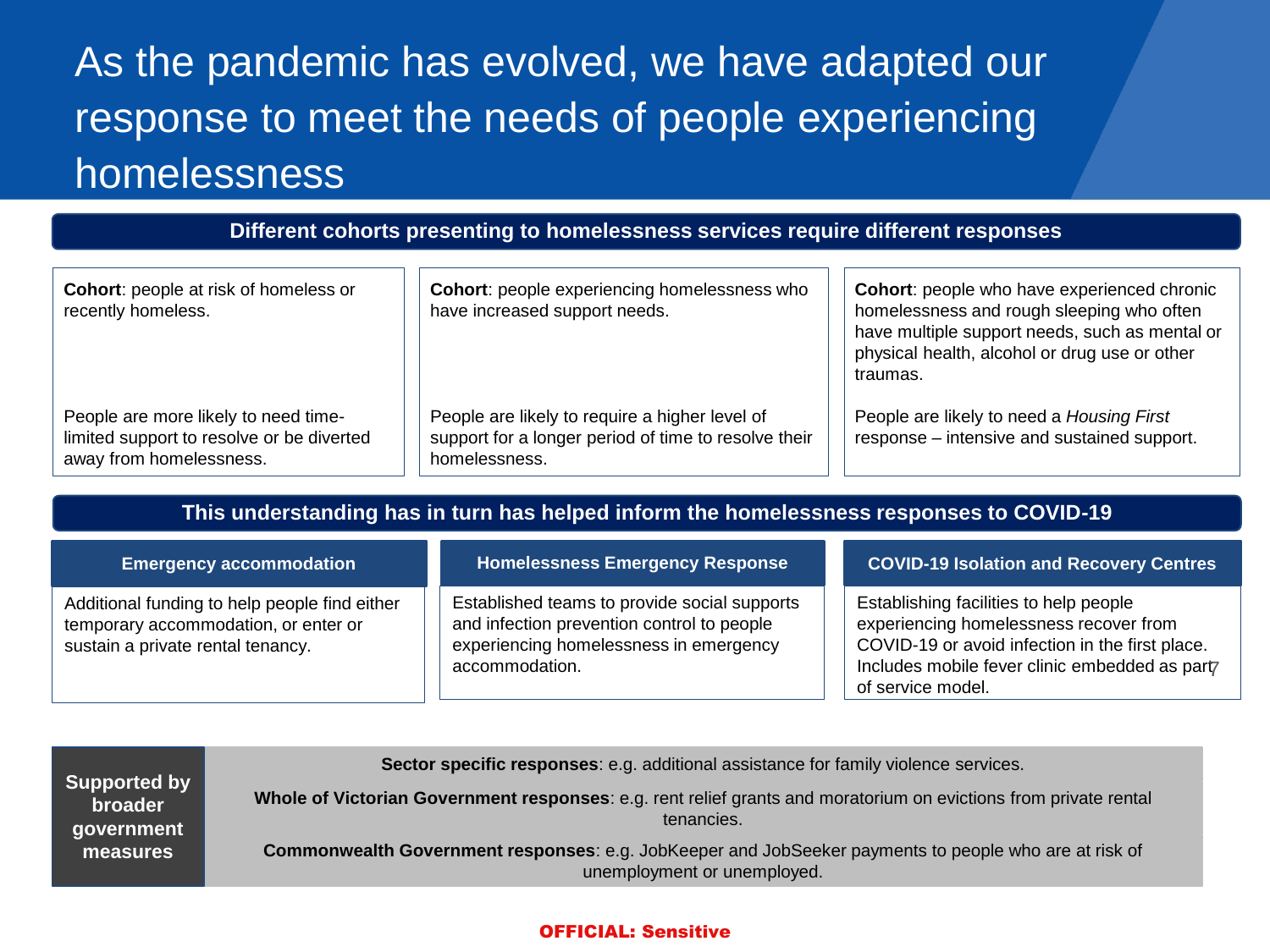# As the pandemic has evolved, we have adapted our response to meet the needs of people experiencing homelessness

**Different cohorts presenting to homelessness services require different responses**

| <b>Cohort:</b> people at risk of homeless or<br>recently homeless.                                           | <b>Cohort:</b> people experiencing homelessness who<br>have increased support needs.                                    | <b>Cohort:</b> people who have experienced chronic<br>homelessness and rough sleeping who often<br>have multiple support needs, such as mental or<br>physical health, alcohol or drug use or other<br>traumas. |
|--------------------------------------------------------------------------------------------------------------|-------------------------------------------------------------------------------------------------------------------------|----------------------------------------------------------------------------------------------------------------------------------------------------------------------------------------------------------------|
| People are more likely to need time-<br>limited support to resolve or be diverted<br>away from homelessness. | People are likely to require a higher level of<br>support for a longer period of time to resolve their<br>homelessness. | People are likely to need a Housing First<br>response – intensive and sustained support.                                                                                                                       |

**This understanding has in turn has helped inform the homelessness responses to COVID-19**

| <b>Emergency accommodation</b>                                                                                             | <b>Homelessness Emergency Response</b>                                                                                                                 | <b>COVID-19 Isolation and Recovery Centres</b>                                                                                                                                                            |  |  |  |
|----------------------------------------------------------------------------------------------------------------------------|--------------------------------------------------------------------------------------------------------------------------------------------------------|-----------------------------------------------------------------------------------------------------------------------------------------------------------------------------------------------------------|--|--|--|
| Additional funding to help people find either<br>temporary accommodation, or enter or<br>sustain a private rental tenancy. | Established teams to provide social supports<br>and infection prevention control to people<br>experiencing homelessness in emergency<br>accommodation. | Establishing facilities to help people<br>experiencing homelessness recover from<br>COVID-19 or avoid infection in the first place.<br>Includes mobile fever clinic embedded as part<br>of service model. |  |  |  |

| <b>Supported by</b><br>broader<br>government<br>measures | Sector specific responses: e.g. additional assistance for family violence services.                                                         |
|----------------------------------------------------------|---------------------------------------------------------------------------------------------------------------------------------------------|
|                                                          | Whole of Victorian Government responses: e.g. rent relief grants and moratorium on evictions from private rental<br>tenancies.              |
|                                                          | <b>Commonwealth Government responses:</b> e.g. JobKeeper and JobSeeker payments to people who are at risk of<br>unemployment or unemployed. |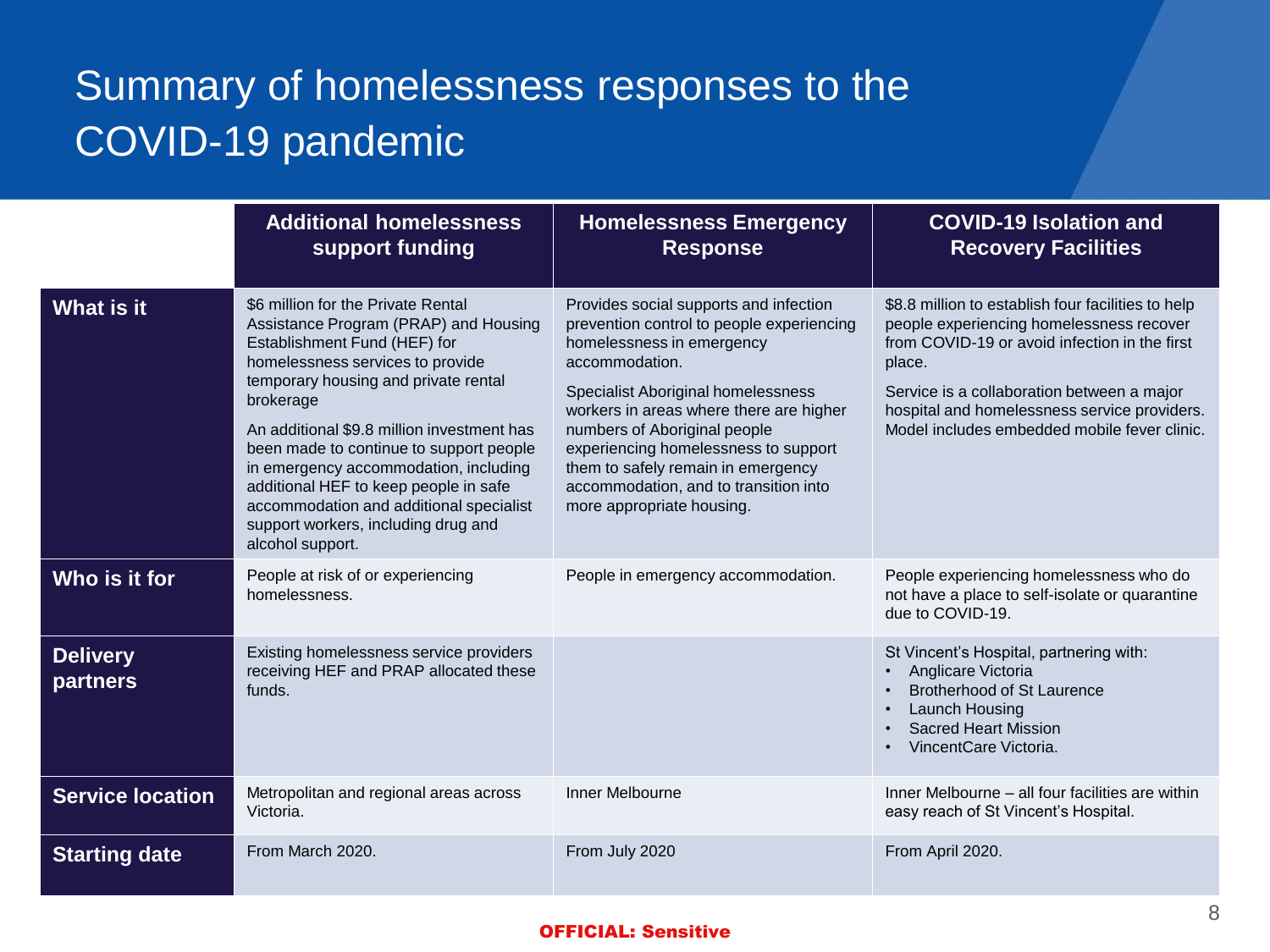# Summary of homelessness responses to the COVID-19 pandemic

|                             | <b>Additional homelessness</b><br>support funding                                                                                                                                                                                                                                                                                                                                                                                                                                     | <b>Homelessness Emergency</b><br><b>Response</b>                                                                                                                                                                                                                                                                                                                                                        | <b>COVID-19 Isolation and</b><br><b>Recovery Facilities</b>                                                                                                                                                                                                                                             |
|-----------------------------|---------------------------------------------------------------------------------------------------------------------------------------------------------------------------------------------------------------------------------------------------------------------------------------------------------------------------------------------------------------------------------------------------------------------------------------------------------------------------------------|---------------------------------------------------------------------------------------------------------------------------------------------------------------------------------------------------------------------------------------------------------------------------------------------------------------------------------------------------------------------------------------------------------|---------------------------------------------------------------------------------------------------------------------------------------------------------------------------------------------------------------------------------------------------------------------------------------------------------|
| <b>What is it</b>           | \$6 million for the Private Rental<br>Assistance Program (PRAP) and Housing<br>Establishment Fund (HEF) for<br>homelessness services to provide<br>temporary housing and private rental<br>brokerage<br>An additional \$9.8 million investment has<br>been made to continue to support people<br>in emergency accommodation, including<br>additional HEF to keep people in safe<br>accommodation and additional specialist<br>support workers, including drug and<br>alcohol support. | Provides social supports and infection<br>prevention control to people experiencing<br>homelessness in emergency<br>accommodation.<br>Specialist Aboriginal homelessness<br>workers in areas where there are higher<br>numbers of Aboriginal people<br>experiencing homelessness to support<br>them to safely remain in emergency<br>accommodation, and to transition into<br>more appropriate housing. | \$8.8 million to establish four facilities to help<br>people experiencing homelessness recover<br>from COVID-19 or avoid infection in the first<br>place.<br>Service is a collaboration between a major<br>hospital and homelessness service providers.<br>Model includes embedded mobile fever clinic. |
| Who is it for               | People at risk of or experiencing<br>homelessness.                                                                                                                                                                                                                                                                                                                                                                                                                                    | People in emergency accommodation.                                                                                                                                                                                                                                                                                                                                                                      | People experiencing homelessness who do<br>not have a place to self-isolate or quarantine<br>due to COVID-19.                                                                                                                                                                                           |
| <b>Delivery</b><br>partners | Existing homelessness service providers<br>receiving HEF and PRAP allocated these<br>funds.                                                                                                                                                                                                                                                                                                                                                                                           |                                                                                                                                                                                                                                                                                                                                                                                                         | St Vincent's Hospital, partnering with:<br>Anglicare Victoria<br>Brotherhood of St Laurence<br>Launch Housing<br><b>Sacred Heart Mission</b><br>VincentCare Victoria.                                                                                                                                   |
| <b>Service location</b>     | Metropolitan and regional areas across<br>Victoria.                                                                                                                                                                                                                                                                                                                                                                                                                                   | Inner Melbourne                                                                                                                                                                                                                                                                                                                                                                                         | Inner Melbourne - all four facilities are within<br>easy reach of St Vincent's Hospital.                                                                                                                                                                                                                |
| <b>Starting date</b>        | From March 2020.                                                                                                                                                                                                                                                                                                                                                                                                                                                                      | From July 2020                                                                                                                                                                                                                                                                                                                                                                                          | From April 2020.                                                                                                                                                                                                                                                                                        |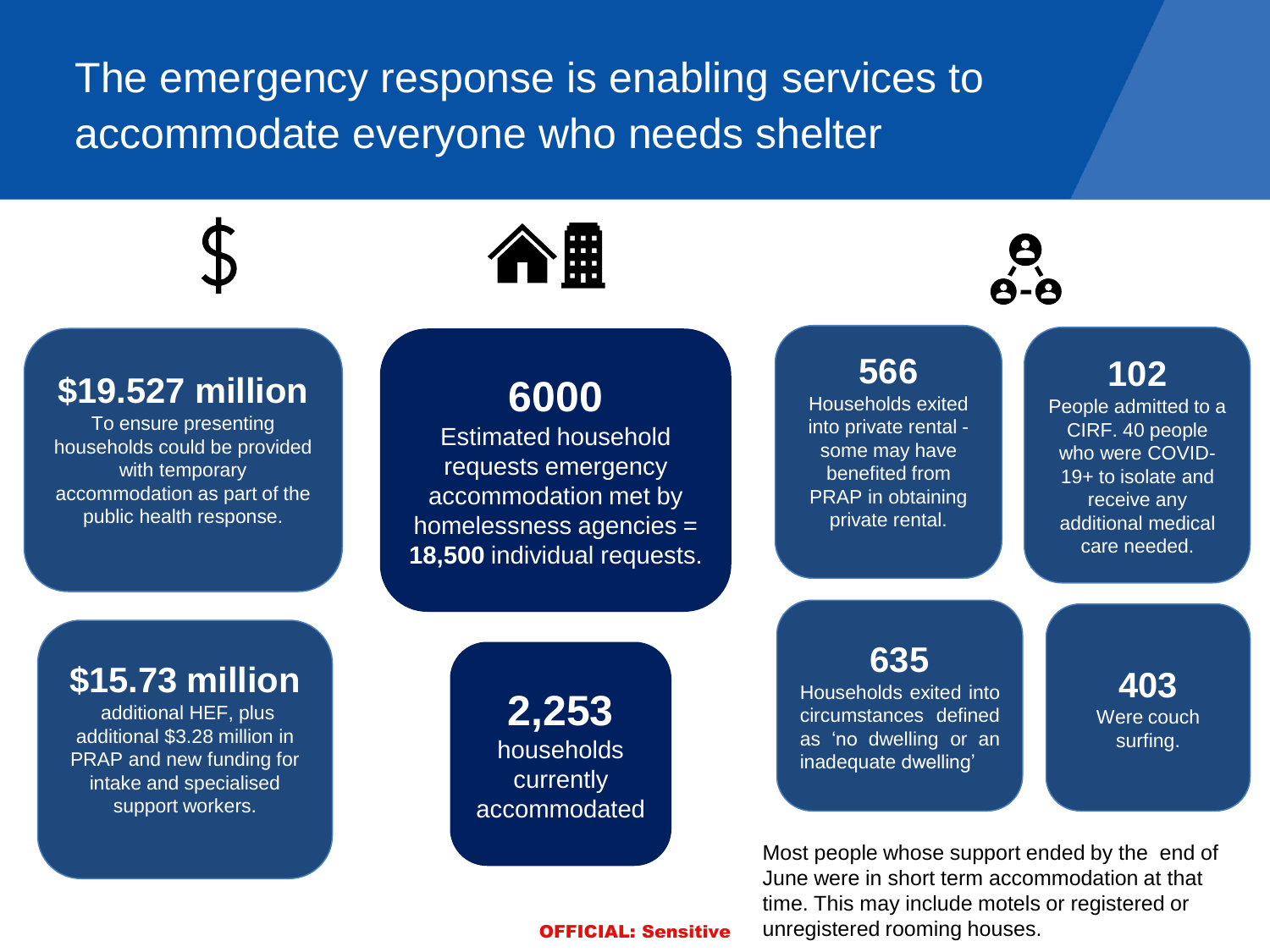The emergency response is enabling services to accommodate everyone who needs shelter

**\$19.527 million**  To ensure presenting households could be provided with temporary accommodation as part of the public health response.

**6000**

个開

Estimated household requests emergency accommodation met by homelessness agencies = **18,500** individual requests. **566**

Households exited into private rental some may have benefited from PRAP in obtaining private rental.

### **102**

People admitted to a CIRF. 40 people who were COVID-19+ to isolate and receive any additional medical care needed.

**\$15.73 million**

additional HEF, plus additional \$3.28 million in PRAP and new funding for intake and specialised support workers.

**2,253** households currently accommodated **635**

Households exited into circumstances defined as 'no dwelling or an inadequate dwelling'

**403** Were couch surfing.

Most people whose support ended by the end of June were in short term accommodation at that time. This may include motels or registered or unregistered rooming houses.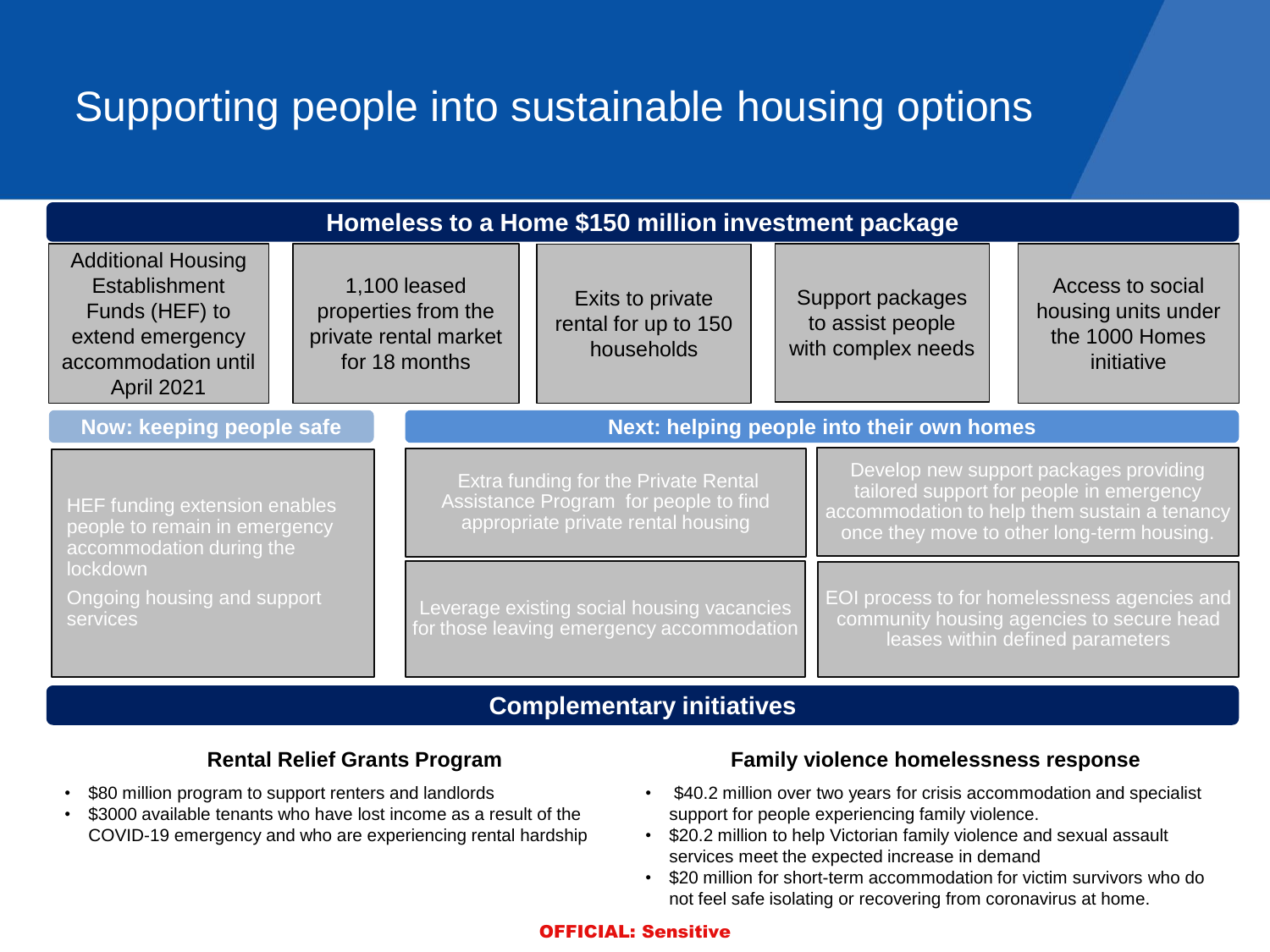# Supporting people into sustainable housing options

| Homeless to a Home \$150 million investment package                                                                                               |                                                                               |                                                                                                                                                                                                                                                                                                         |                                                                                         |  |                                                            |                                                                                                                               |                                                                         |
|---------------------------------------------------------------------------------------------------------------------------------------------------|-------------------------------------------------------------------------------|---------------------------------------------------------------------------------------------------------------------------------------------------------------------------------------------------------------------------------------------------------------------------------------------------------|-----------------------------------------------------------------------------------------|--|------------------------------------------------------------|-------------------------------------------------------------------------------------------------------------------------------|-------------------------------------------------------------------------|
| <b>Additional Housing</b><br>Establishment<br>Funds (HEF) to<br>extend emergency<br>accommodation until<br>April 2021                             | 1,100 leased<br>properties from the<br>private rental market<br>for 18 months |                                                                                                                                                                                                                                                                                                         | Exits to private<br>rental for up to 150<br>households                                  |  | Support packages<br>to assist people<br>with complex needs |                                                                                                                               | Access to social<br>housing units under<br>the 1000 Homes<br>initiative |
| Now: keeping people safe                                                                                                                          |                                                                               |                                                                                                                                                                                                                                                                                                         |                                                                                         |  | Next: helping people into their own homes                  |                                                                                                                               |                                                                         |
| HEF funding extension enables<br>people to remain in emergency<br>accommodation during the<br>lockdown<br>Ongoing housing and support<br>services |                                                                               | Develop new support packages providing<br>Extra funding for the Private Rental<br>tailored support for people in emergency<br>Assistance Program for people to find<br>accommodation to help them sustain a tenancy<br>appropriate private rental housing<br>once they move to other long-term housing. |                                                                                         |  |                                                            |                                                                                                                               |                                                                         |
|                                                                                                                                                   |                                                                               |                                                                                                                                                                                                                                                                                                         | Leverage existing social housing vacancies<br>for those leaving emergency accommodation |  |                                                            | EOI process to for homelessness agencies and<br>community housing agencies to secure head<br>leases within defined parameters |                                                                         |

### **Complementary initiatives**

### **Rental Relief Grants Program**

- \$80 million program to support renters and landlords
- \$3000 available tenants who have lost income as a result of the COVID-19 emergency and who are experiencing rental hardship

### **Family violence homelessness response**

- \$40.2 million over two years for crisis accommodation and specialist support for people experiencing family violence.
- \$20.2 million to help Victorian family violence and sexual assault services meet the expected increase in demand
- \$20 million for short-term accommodation for victim survivors who do not feel safe isolating or recovering from coronavirus at home.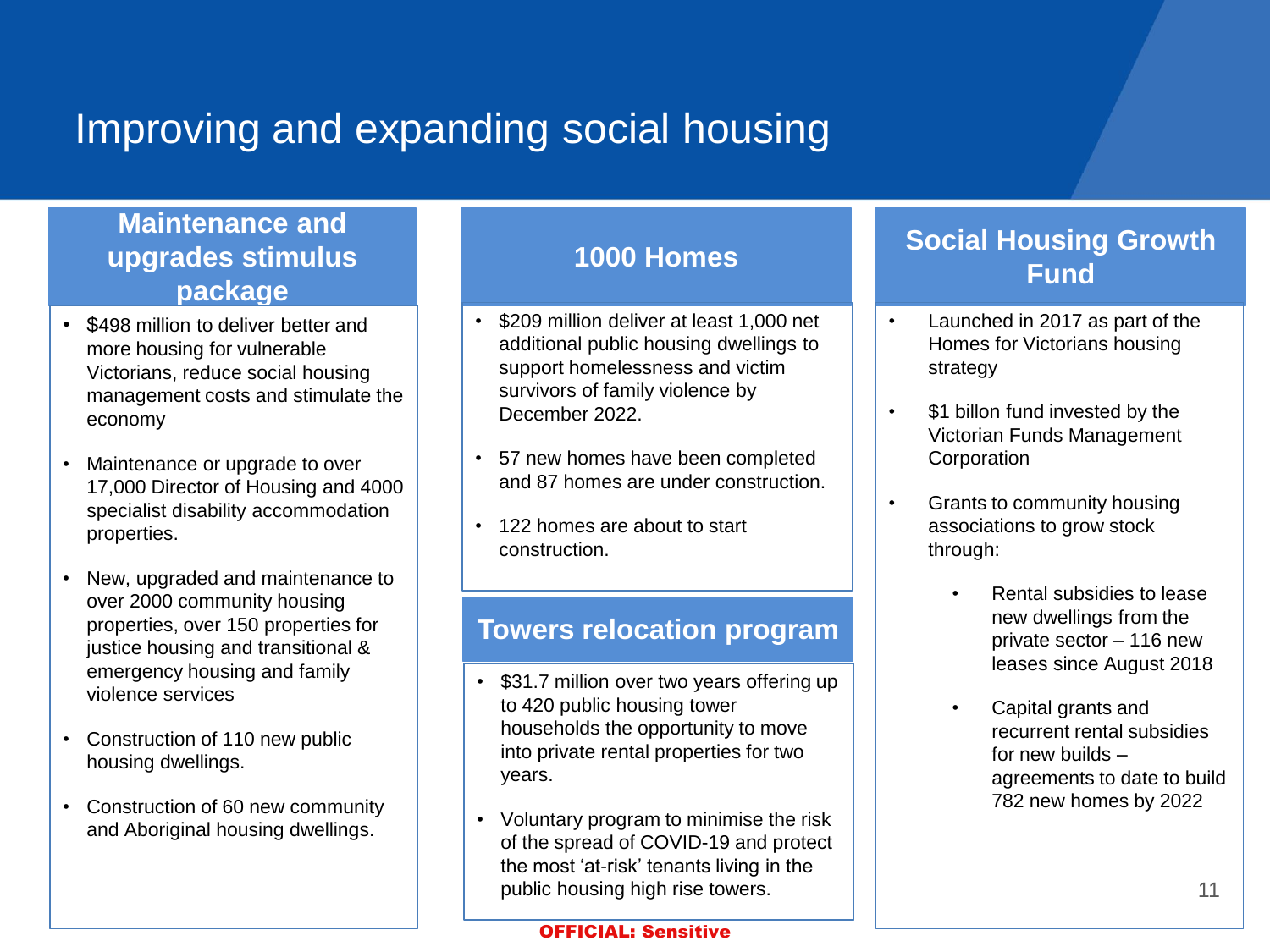# Improving and expanding social housing

### **Maintenance and upgrades stimulus package**

- \$498 million to deliver better and more housing for vulnerable Victorians, reduce social housing management costs and stimulate the economy
- Maintenance or upgrade to over 17,000 Director of Housing and 4000 specialist disability accommodation properties.
- New, upgraded and maintenance to over 2000 community housing properties, over 150 properties for justice housing and transitional & emergency housing and family violence services
- Construction of 110 new public housing dwellings.
- Construction of 60 new community and Aboriginal housing dwellings.

- \$209 million deliver at least 1,000 net additional public housing dwellings to support homelessness and victim survivors of family violence by December 2022.
- 57 new homes have been completed and 87 homes are under construction.
- 122 homes are about to start construction.

### **Towers relocation program**

- \$31.7 million over two years offering up to 420 public housing tower households the opportunity to move into private rental properties for two years.
- Voluntary program to minimise the risk of the spread of COVID-19 and protect the most 'at-risk' tenants living in the public housing high rise towers.

#### OFFICIAL: Sensitive

### **Social Housing Growth Fund 1000 Homes**

- Launched in 2017 as part of the Homes for Victorians housing strategy
- \$1 billon fund invested by the Victorian Funds Management **Corporation**
- Grants to community housing associations to grow stock through:
	- Rental subsidies to lease new dwellings from the private sector – 116 new leases since August 2018
	- Capital grants and recurrent rental subsidies for new builds – agreements to date to build 782 new homes by 2022